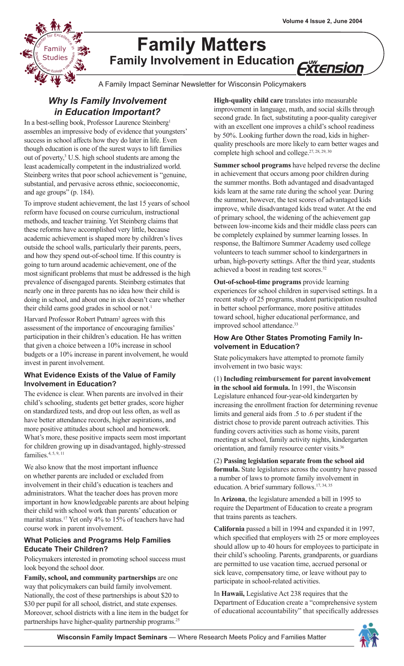

# **Family Matters Family Involvement in Education** *ïtensior*

A Family Impact Seminar Newsletter for Wisconsin Policymakers

# *Why Is Family Involvement in Education Important?*

In a best-selling book, Professor Laurence Steinberg<sup>1</sup> assembles an impressive body of evidence that youngsters' success in school affects how they do later in life. Even though education is one of the surest ways to lift families out of poverty,<sup>3</sup> U.S. high school students are among the least academically competent in the industrialized world. Steinberg writes that poor school achievement is "genuine, substantial, and pervasive across ethnic, socioeconomic, and age groups" (p. 184).

To improve student achievement, the last 15 years of school reform have focused on course curriculum, instructional methods, and teacher training. Yet Steinberg claims that these reforms have accomplished very little, because academic achievement is shaped more by children's lives outside the school walls, particularly their parents, peers, and how they spend out-of-school time. If this country is going to turn around academic achievement, one of the most significant problems that must be addressed is the high prevalence of disengaged parents. Steinberg estimates that nearly one in three parents has no idea how their child is doing in school, and about one in six doesn't care whether their child earns good grades in school or not.<sup>1</sup>

Harvard Professor Robert Putnam<sup>2</sup> agrees with this assessment of the importance of encouraging families' participation in their children's education. He has written that given a choice between a 10% increase in school budgets or a 10% increase in parent involvement, he would invest in parent involvement.

### **What Evidence Exists of the Value of Family Involvement in Education?**

The evidence is clear. When parents are involved in their child's schooling, students get better grades, score higher on standardized tests, and drop out less often, as well as have better attendance records, higher aspirations, and more positive attitudes about school and homework. What's more, these positive impacts seem most important for children growing up in disadvantaged, highly-stressed families.<sup>4, 5, 9, 11</sup>

We also know that the most important influence on whether parents are included or excluded from involvement in their child's education is teachers and administrators. What the teacher does has proven more important in how knowledgeable parents are about helping their child with school work than parents' education or marital status.17 Yet only 4% to 15% of teachers have had course work in parent involvement.

#### **What Policies and Programs Help Families Educate Their Children?**

Policymakers interested in promoting school success must look beyond the school door.

**Family, school, and community partnerships** are one way that policymakers can build family involvement. Nationally, the cost of these partnerships is about \$20 to \$30 per pupil for all school, district, and state expenses. Moreover, school districts with a line item in the budget for partnerships have higher-quality partnership programs.<sup>25</sup>

**High-quality child care** translates into measurable improvement in language, math, and social skills through second grade. In fact, substituting a poor-quality caregiver with an excellent one improves a child's school readiness by 50%. Looking further down the road, kids in higherquality preschools are more likely to earn better wages and complete high school and college.<sup>27, 28, 29, 30</sup>

**Summer school programs** have helped reverse the decline in achievement that occurs among poor children during the summer months. Both advantaged and disadvantaged kids learn at the same rate during the school year. During the summer, however, the test scores of advantaged kids improve, while disadvantaged kids tread water. At the end of primary school, the widening of the achievement gap between low-income kids and their middle class peers can be completely explained by summer learning losses. In response, the Baltimore Summer Academy used college volunteers to teach summer school to kindergartners in urban, high-poverty settings. After the third year, students achieved a boost in reading test scores.<sup>32</sup>

**Out-of-school-time programs** provide learning experiences for school children in supervised settings. In a recent study of 25 programs, student participation resulted in better school performance, more positive attitudes toward school, higher educational performance, and improved school attendance.<sup>33</sup>

#### **How Are Other States Promoting Family Involvement in Education?**

State policymakers have attempted to promote family involvement in two basic ways:

(1) **Including reimbursement for parent involvement in the school aid formula.** In 1991, the Wisconsin Legislature enhanced four-year-old kindergarten by increasing the enrollment fraction for determining revenue limits and general aids from .5 to .6 per student if the district chose to provide parent outreach activities. This funding covers activities such as home visits, parent meetings at school, family activity nights, kindergarten orientation, and family resource center visits.<sup>36</sup>

(2) **Passing legislation separate from the school aid formula.** State legislatures across the country have passed a number of laws to promote family involvement in education. A brief summary follows.<sup>17, 34, 35</sup>

In **Arizona**, the legislature amended a bill in 1995 to require the Department of Education to create a program that trains parents as teachers.

**California** passed a bill in 1994 and expanded it in 1997, which specified that employers with 25 or more employees should allow up to 40 hours for employees to participate in their child's schooling. Parents, grandparents, or guardians are permitted to use vacation time, accrued personal or sick leave, compensatory time, or leave without pay to participate in school-related activities.

In **Hawaii,** Legislative Act 238 requires that the Department of Education create a "comprehensive system of educational accountability" that specifically addresses